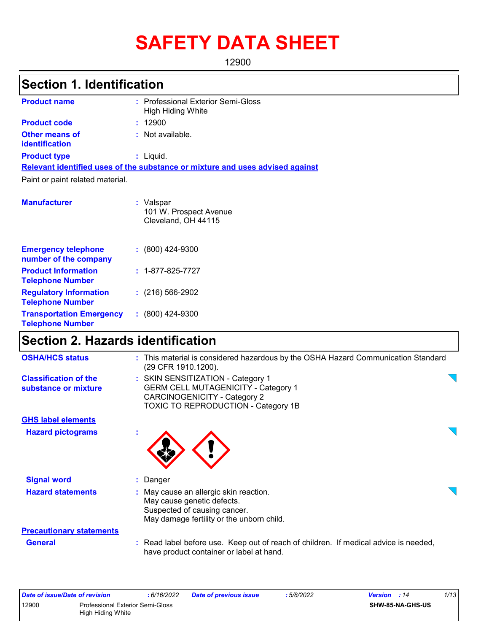# **SAFETY DATA SHEET**

12900

# **Section 1. Identification**

| <b>Product name</b>                     | : Professional Exterior Semi-Gloss<br><b>High Hiding White</b>                |
|-----------------------------------------|-------------------------------------------------------------------------------|
| <b>Product code</b>                     | : 12900                                                                       |
| <b>Other means of</b><br>identification | : Not available.                                                              |
| <b>Product type</b>                     | : Liquid.                                                                     |
|                                         | Relevant identified uses of the substance or mixture and uses advised against |
| Paint or paint related material.        |                                                                               |
| <b>Manufacturer</b>                     | : Valspar<br>101 W. Prospect Avenue<br>Cleveland, OH 44115                    |

| <b>Emergency telephone</b><br>number of the company        | $: (800)$ 424-9300       |
|------------------------------------------------------------|--------------------------|
| <b>Product Information</b><br><b>Telephone Number</b>      | $: 1 - 877 - 825 - 7727$ |
| <b>Regulatory Information</b><br><b>Telephone Number</b>   | $: (216) 566 - 2902$     |
| <b>Transportation Emergency</b><br><b>Telephone Number</b> | $: (800)$ 424-9300       |

# **Section 2. Hazards identification**

| : This material is considered hazardous by the OSHA Hazard Communication Standard<br>(29 CFR 1910.1200).                                                      |  |
|---------------------------------------------------------------------------------------------------------------------------------------------------------------|--|
| : SKIN SENSITIZATION - Category 1<br><b>GERM CELL MUTAGENICITY - Category 1</b><br>CARCINOGENICITY - Category 2<br><b>TOXIC TO REPRODUCTION - Category 1B</b> |  |
|                                                                                                                                                               |  |
|                                                                                                                                                               |  |
| : Danger                                                                                                                                                      |  |
| : May cause an allergic skin reaction.<br>May cause genetic defects.<br>Suspected of causing cancer.<br>May damage fertility or the unborn child.             |  |
|                                                                                                                                                               |  |
| : Read label before use. Keep out of reach of children. If medical advice is needed,<br>have product container or label at hand.                              |  |
|                                                                                                                                                               |  |

|       | Date of issue/Date of revision          | : 6/16/2022 | <b>Date of previous issue</b> | : 5/8/2022 | <b>Version</b> : 14     | 1/13 |
|-------|-----------------------------------------|-------------|-------------------------------|------------|-------------------------|------|
| 12900 | <b>Professional Exterior Semi-Gloss</b> |             |                               |            | <b>SHW-85-NA-GHS-US</b> |      |
|       | High Hiding White                       |             |                               |            |                         |      |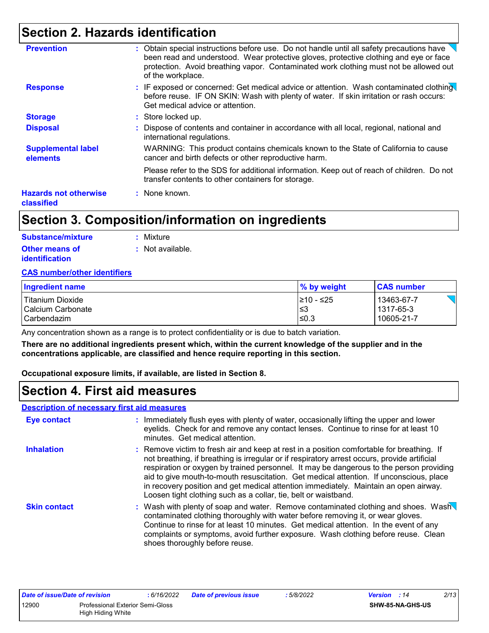### **Section 2. Hazards identification**

| <b>Prevention</b>                          | : Obtain special instructions before use. Do not handle until all safety precautions have<br>been read and understood. Wear protective gloves, protective clothing and eye or face<br>protection. Avoid breathing vapor. Contaminated work clothing must not be allowed out<br>of the workplace. |
|--------------------------------------------|--------------------------------------------------------------------------------------------------------------------------------------------------------------------------------------------------------------------------------------------------------------------------------------------------|
| <b>Response</b>                            | : IF exposed or concerned: Get medical advice or attention. Wash contaminated clothing<br>before reuse. IF ON SKIN: Wash with plenty of water. If skin irritation or rash occurs:<br>Get medical advice or attention.                                                                            |
| <b>Storage</b>                             | : Store locked up.                                                                                                                                                                                                                                                                               |
| <b>Disposal</b>                            | : Dispose of contents and container in accordance with all local, regional, national and<br>international regulations.                                                                                                                                                                           |
| <b>Supplemental label</b><br>elements      | WARNING: This product contains chemicals known to the State of California to cause<br>cancer and birth defects or other reproductive harm.                                                                                                                                                       |
|                                            | Please refer to the SDS for additional information. Keep out of reach of children. Do not<br>transfer contents to other containers for storage.                                                                                                                                                  |
| <b>Hazards not otherwise</b><br>classified | : None known.                                                                                                                                                                                                                                                                                    |

### **Section 3. Composition/information on ingredients**

| Substance/mixture                       | : Mixture                   |
|-----------------------------------------|-----------------------------|
| Other means of<br><b>identification</b> | $\therefore$ Not available. |

#### **CAS number/other identifiers**

| Ingredient name     | % by weight | <b>CAS number</b> |
|---------------------|-------------|-------------------|
| Titanium Dioxide    | 1≥10 - ≤25  | 13463-67-7        |
| I Calcium Carbonate | l≤3         | l 1317-65-3       |
| l Carbendazim .     | l≤0.3       | 10605-21-7        |

Any concentration shown as a range is to protect confidentiality or is due to batch variation.

**There are no additional ingredients present which, within the current knowledge of the supplier and in the concentrations applicable, are classified and hence require reporting in this section.**

**Occupational exposure limits, if available, are listed in Section 8.**

### **Section 4. First aid measures**

#### **Description of necessary first aid measures**

| <b>Eye contact</b>  | : Immediately flush eyes with plenty of water, occasionally lifting the upper and lower<br>eyelids. Check for and remove any contact lenses. Continue to rinse for at least 10<br>minutes. Get medical attention.                                                                                                                                                                                                                                                                                                                         |
|---------------------|-------------------------------------------------------------------------------------------------------------------------------------------------------------------------------------------------------------------------------------------------------------------------------------------------------------------------------------------------------------------------------------------------------------------------------------------------------------------------------------------------------------------------------------------|
| <b>Inhalation</b>   | : Remove victim to fresh air and keep at rest in a position comfortable for breathing. If<br>not breathing, if breathing is irregular or if respiratory arrest occurs, provide artificial<br>respiration or oxygen by trained personnel. It may be dangerous to the person providing<br>aid to give mouth-to-mouth resuscitation. Get medical attention. If unconscious, place<br>in recovery position and get medical attention immediately. Maintain an open airway.<br>Loosen tight clothing such as a collar, tie, belt or waistband. |
| <b>Skin contact</b> | : Wash with plenty of soap and water. Remove contaminated clothing and shoes. Wash<br>contaminated clothing thoroughly with water before removing it, or wear gloves.<br>Continue to rinse for at least 10 minutes. Get medical attention. In the event of any<br>complaints or symptoms, avoid further exposure. Wash clothing before reuse. Clean<br>shoes thoroughly before reuse.                                                                                                                                                     |

| Date of issue/Date of revision                   |  | : 6/16/2022 | Date of previous issue | : 5/8/2022       | <b>Version</b> : 14 | 2/13 |
|--------------------------------------------------|--|-------------|------------------------|------------------|---------------------|------|
| 12900<br><b>Professional Exterior Semi-Gloss</b> |  |             |                        | SHW-85-NA-GHS-US |                     |      |
| High Hiding White                                |  |             |                        |                  |                     |      |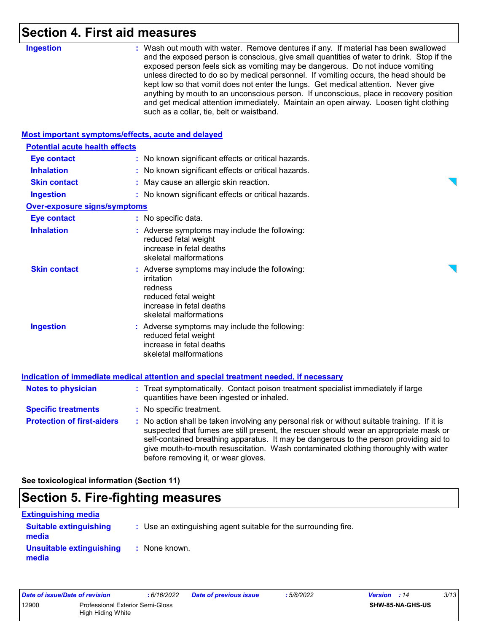# **Section 4. First aid measures**

| <b>Ingestion</b>                                   | : Wash out mouth with water. Remove dentures if any. If material has been swallowed<br>and the exposed person is conscious, give small quantities of water to drink. Stop if the<br>exposed person feels sick as vomiting may be dangerous. Do not induce vomiting<br>unless directed to do so by medical personnel. If vomiting occurs, the head should be<br>kept low so that vomit does not enter the lungs. Get medical attention. Never give<br>anything by mouth to an unconscious person. If unconscious, place in recovery position<br>and get medical attention immediately. Maintain an open airway. Loosen tight clothing<br>such as a collar, tie, belt or waistband. |
|----------------------------------------------------|-----------------------------------------------------------------------------------------------------------------------------------------------------------------------------------------------------------------------------------------------------------------------------------------------------------------------------------------------------------------------------------------------------------------------------------------------------------------------------------------------------------------------------------------------------------------------------------------------------------------------------------------------------------------------------------|
| Most important symptoms/effects, acute and delayed |                                                                                                                                                                                                                                                                                                                                                                                                                                                                                                                                                                                                                                                                                   |
| <b>Potential acute health effects</b>              |                                                                                                                                                                                                                                                                                                                                                                                                                                                                                                                                                                                                                                                                                   |
| <b>Eye contact</b>                                 | : No known significant effects or critical hazards.                                                                                                                                                                                                                                                                                                                                                                                                                                                                                                                                                                                                                               |
| <b>Inhalation</b>                                  | : No known significant effects or critical hazards.                                                                                                                                                                                                                                                                                                                                                                                                                                                                                                                                                                                                                               |
| <b>Skin contact</b>                                | : May cause an allergic skin reaction.                                                                                                                                                                                                                                                                                                                                                                                                                                                                                                                                                                                                                                            |
| <b>Ingestion</b>                                   | : No known significant effects or critical hazards.                                                                                                                                                                                                                                                                                                                                                                                                                                                                                                                                                                                                                               |
| <b>Over-exposure signs/symptoms</b>                |                                                                                                                                                                                                                                                                                                                                                                                                                                                                                                                                                                                                                                                                                   |
| <b>Eye contact</b>                                 | : No specific data.                                                                                                                                                                                                                                                                                                                                                                                                                                                                                                                                                                                                                                                               |
| <b>Inhalation</b>                                  | : Adverse symptoms may include the following:<br>reduced fetal weight<br>increase in fetal deaths<br>skeletal malformations                                                                                                                                                                                                                                                                                                                                                                                                                                                                                                                                                       |
| <b>Skin contact</b>                                | : Adverse symptoms may include the following:<br>irritation<br>redness<br>reduced fetal weight<br>increase in fetal deaths<br>skeletal malformations                                                                                                                                                                                                                                                                                                                                                                                                                                                                                                                              |
| <b>Ingestion</b>                                   | : Adverse symptoms may include the following:<br>reduced fetal weight<br>increase in fetal deaths<br>skeletal malformations                                                                                                                                                                                                                                                                                                                                                                                                                                                                                                                                                       |
|                                                    | <b>Indication of immediate medical attention and special treatment needed, if necessary</b>                                                                                                                                                                                                                                                                                                                                                                                                                                                                                                                                                                                       |
| <b>Notes to physician</b>                          | : Treat symptomatically. Contact poison treatment specialist immediately if large<br>quantities have been ingested or inhaled.                                                                                                                                                                                                                                                                                                                                                                                                                                                                                                                                                    |
| <b>Specific treatments</b>                         | : No specific treatment.                                                                                                                                                                                                                                                                                                                                                                                                                                                                                                                                                                                                                                                          |
| <b>Protection of first-aiders</b>                  | : No action shall be taken involving any personal risk or without suitable training. If it is<br>suspected that fumes are still present, the rescuer should wear an appropriate mask or<br>self-contained breathing apparatus. It may be dangerous to the person providing aid to<br>give mouth-to-mouth resuscitation. Wash contaminated clothing thoroughly with water<br>before removing it, or wear gloves.                                                                                                                                                                                                                                                                   |

# **Section 5. Fire-fighting measures**

| <b>Extinguishing media</b>             |                                                                 |
|----------------------------------------|-----------------------------------------------------------------|
| <b>Suitable extinguishing</b><br>media | : Use an extinguishing agent suitable for the surrounding fire. |
| Unsuitable extinguishing<br>media      | : None known.                                                   |

| Date of issue/Date of revision |                                                              | : 6/16/2022 | <b>Date of previous issue</b> | : 5/8/2022              | <b>Version</b> : 14 | 3/13 |
|--------------------------------|--------------------------------------------------------------|-------------|-------------------------------|-------------------------|---------------------|------|
| 12900                          | <b>Professional Exterior Semi-Gloss</b><br>High Hiding White |             |                               | <b>SHW-85-NA-GHS-US</b> |                     |      |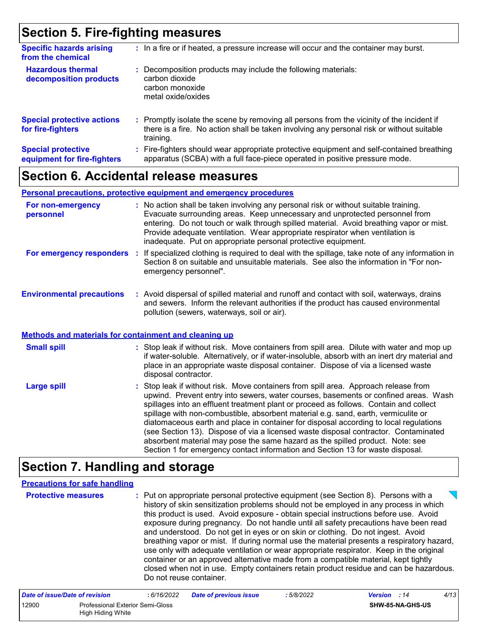### **Section 5. Fire-fighting measures**

| <b>Specific hazards arising</b><br>from the chemical     | : In a fire or if heated, a pressure increase will occur and the container may burst.                                                                                                               |
|----------------------------------------------------------|-----------------------------------------------------------------------------------------------------------------------------------------------------------------------------------------------------|
| <b>Hazardous thermal</b><br>decomposition products       | : Decomposition products may include the following materials:<br>carbon dioxide<br>carbon monoxide<br>metal oxide/oxides                                                                            |
| <b>Special protective actions</b><br>for fire-fighters   | : Promptly isolate the scene by removing all persons from the vicinity of the incident if<br>there is a fire. No action shall be taken involving any personal risk or without suitable<br>training. |
| <b>Special protective</b><br>equipment for fire-fighters | Fire-fighters should wear appropriate protective equipment and self-contained breathing<br>÷.<br>apparatus (SCBA) with a full face-piece operated in positive pressure mode.                        |

### **Section 6. Accidental release measures**

#### **Personal precautions, protective equipment and emergency procedures**

| For non-emergency<br>personnel   |    | : No action shall be taken involving any personal risk or without suitable training.<br>Evacuate surrounding areas. Keep unnecessary and unprotected personnel from<br>entering. Do not touch or walk through spilled material. Avoid breathing vapor or mist.<br>Provide adequate ventilation. Wear appropriate respirator when ventilation is<br>inadequate. Put on appropriate personal protective equipment. |
|----------------------------------|----|------------------------------------------------------------------------------------------------------------------------------------------------------------------------------------------------------------------------------------------------------------------------------------------------------------------------------------------------------------------------------------------------------------------|
| For emergency responders         | И. | If specialized clothing is required to deal with the spillage, take note of any information in<br>Section 8 on suitable and unsuitable materials. See also the information in "For non-<br>emergency personnel".                                                                                                                                                                                                 |
| <b>Environmental precautions</b> |    | : Avoid dispersal of spilled material and runoff and contact with soil, waterways, drains<br>and sewers. Inform the relevant authorities if the product has caused environmental<br>pollution (sewers, waterways, soil or air).                                                                                                                                                                                  |

#### **Methods and materials for containment and cleaning up**

| <b>Small spill</b> | : Stop leak if without risk. Move containers from spill area. Dilute with water and mop up<br>if water-soluble. Alternatively, or if water-insoluble, absorb with an inert dry material and<br>place in an appropriate waste disposal container. Dispose of via a licensed waste<br>disposal contractor. |
|--------------------|----------------------------------------------------------------------------------------------------------------------------------------------------------------------------------------------------------------------------------------------------------------------------------------------------------|
| Large spill        | : Stop leak if without risk. Move containers from spill area. Approach release from<br>upwind. Prevent entry into sewers, water courses, basements or confined areas. Wash<br>spillages into an effluent treatment plant or proceed as follows. Contain and collect                                      |

spillages into an effluent treatment plant or proceed as follows. Contain and collect spillage with non-combustible, absorbent material e.g. sand, earth, vermiculite or diatomaceous earth and place in container for disposal according to local regulations (see Section 13). Dispose of via a licensed waste disposal contractor. Contaminated absorbent material may pose the same hazard as the spilled product. Note: see Section 1 for emergency contact information and Section 13 for waste disposal.

### **Section 7. Handling and storage**

#### **Precautions for safe handling**

| <b>Protective measures</b> | : Put on appropriate personal protective equipment (see Section 8). Persons with a<br>history of skin sensitization problems should not be employed in any process in which<br>this product is used. Avoid exposure - obtain special instructions before use. Avoid<br>exposure during pregnancy. Do not handle until all safety precautions have been read<br>and understood. Do not get in eyes or on skin or clothing. Do not ingest. Avoid<br>breathing vapor or mist. If during normal use the material presents a respiratory hazard,<br>use only with adequate ventilation or wear appropriate respirator. Keep in the original<br>container or an approved alternative made from a compatible material, kept tightly<br>closed when not in use. Empty containers retain product residue and can be hazardous.<br>Do not reuse container. |
|----------------------------|--------------------------------------------------------------------------------------------------------------------------------------------------------------------------------------------------------------------------------------------------------------------------------------------------------------------------------------------------------------------------------------------------------------------------------------------------------------------------------------------------------------------------------------------------------------------------------------------------------------------------------------------------------------------------------------------------------------------------------------------------------------------------------------------------------------------------------------------------|
|----------------------------|--------------------------------------------------------------------------------------------------------------------------------------------------------------------------------------------------------------------------------------------------------------------------------------------------------------------------------------------------------------------------------------------------------------------------------------------------------------------------------------------------------------------------------------------------------------------------------------------------------------------------------------------------------------------------------------------------------------------------------------------------------------------------------------------------------------------------------------------------|

| Date of issue/Date of revision |                                                       | : 6/16/2022 | <b>Date of previous issue</b> | : 5/8/2022 | <b>Version</b> : 14 |                         | 4/13 |
|--------------------------------|-------------------------------------------------------|-------------|-------------------------------|------------|---------------------|-------------------------|------|
| 12900                          | Professional Exterior Semi-Gloss<br>High Hiding White |             |                               |            |                     | <b>SHW-85-NA-GHS-US</b> |      |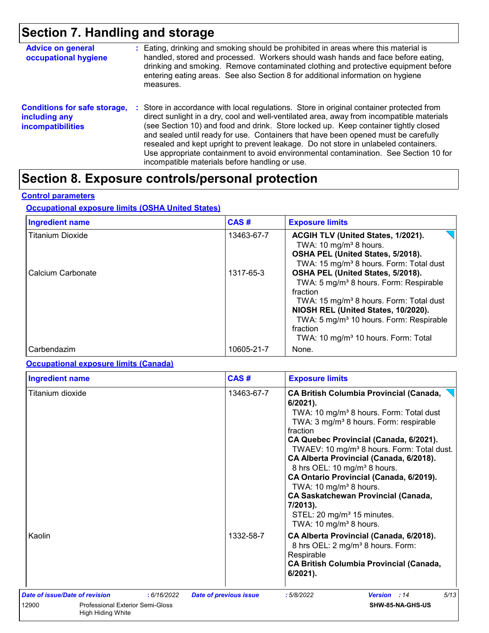## **Section 7. Handling and storage**

| <b>Advice on general</b><br>occupational hygiene                                 | : Eating, drinking and smoking should be prohibited in areas where this material is<br>handled, stored and processed. Workers should wash hands and face before eating,<br>drinking and smoking. Remove contaminated clothing and protective equipment before<br>entering eating areas. See also Section 8 for additional information on hygiene<br>measures.                                                                                                                                                                                                                                       |
|----------------------------------------------------------------------------------|-----------------------------------------------------------------------------------------------------------------------------------------------------------------------------------------------------------------------------------------------------------------------------------------------------------------------------------------------------------------------------------------------------------------------------------------------------------------------------------------------------------------------------------------------------------------------------------------------------|
| <b>Conditions for safe storage,</b><br>including any<br><b>incompatibilities</b> | : Store in accordance with local regulations. Store in original container protected from<br>direct sunlight in a dry, cool and well-ventilated area, away from incompatible materials<br>(see Section 10) and food and drink. Store locked up. Keep container tightly closed<br>and sealed until ready for use. Containers that have been opened must be carefully<br>resealed and kept upright to prevent leakage. Do not store in unlabeled containers.<br>Use appropriate containment to avoid environmental contamination. See Section 10 for<br>incompatible materials before handling or use. |

# **Section 8. Exposure controls/personal protection**

#### **Control parameters**

#### **Occupational exposure limits (OSHA United States)**

| <b>Ingredient name</b>  | CAS#       | <b>Exposure limits</b>                                                                                                                                                                                                                                                                                                  |
|-------------------------|------------|-------------------------------------------------------------------------------------------------------------------------------------------------------------------------------------------------------------------------------------------------------------------------------------------------------------------------|
| <b>Titanium Dioxide</b> | 13463-67-7 | ACGIH TLV (United States, 1/2021).<br>TWA: 10 mg/m <sup>3</sup> 8 hours.<br>OSHA PEL (United States, 5/2018).<br>TWA: 15 mg/m <sup>3</sup> 8 hours. Form: Total dust                                                                                                                                                    |
| Calcium Carbonate       | 1317-65-3  | OSHA PEL (United States, 5/2018).<br>TWA: 5 mg/m <sup>3</sup> 8 hours. Form: Respirable<br>fraction<br>TWA: 15 mg/m <sup>3</sup> 8 hours. Form: Total dust<br>NIOSH REL (United States, 10/2020).<br>TWA: 5 mg/m <sup>3</sup> 10 hours. Form: Respirable<br>fraction<br>TWA: 10 mg/m <sup>3</sup> 10 hours. Form: Total |
| Carbendazim             | 10605-21-7 | None.                                                                                                                                                                                                                                                                                                                   |

#### **Occupational exposure limits (Canada)**

| <b>Ingredient name</b>                                                |            | CAS#                          | <b>Exposure limits</b>                                                                                                                                                                                                                                                                                                                                                                                                                                                                                                                                                                                       |
|-----------------------------------------------------------------------|------------|-------------------------------|--------------------------------------------------------------------------------------------------------------------------------------------------------------------------------------------------------------------------------------------------------------------------------------------------------------------------------------------------------------------------------------------------------------------------------------------------------------------------------------------------------------------------------------------------------------------------------------------------------------|
| Titanium dioxide                                                      |            | 13463-67-7                    | <b>CA British Columbia Provincial (Canada,</b><br>$6/2021$ ).<br>TWA: 10 mg/m <sup>3</sup> 8 hours. Form: Total dust<br>TWA: 3 mg/m <sup>3</sup> 8 hours. Form: respirable<br>fraction<br>CA Quebec Provincial (Canada, 6/2021).<br>TWAEV: 10 mg/m <sup>3</sup> 8 hours. Form: Total dust.<br>CA Alberta Provincial (Canada, 6/2018).<br>8 hrs OEL: 10 mg/m <sup>3</sup> 8 hours.<br>CA Ontario Provincial (Canada, 6/2019).<br>TWA: 10 mg/m <sup>3</sup> 8 hours.<br><b>CA Saskatchewan Provincial (Canada,</b><br>7/2013).<br>STEL: 20 mg/m <sup>3</sup> 15 minutes.<br>TWA: 10 mg/m <sup>3</sup> 8 hours. |
| Kaolin                                                                |            | 1332-58-7                     | CA Alberta Provincial (Canada, 6/2018).<br>8 hrs OEL: 2 mg/m <sup>3</sup> 8 hours. Form:<br>Respirable<br><b>CA British Columbia Provincial (Canada,</b><br>$6/2021$ ).                                                                                                                                                                                                                                                                                                                                                                                                                                      |
| Date of issue/Date of revision                                        | :6/16/2022 | <b>Date of previous issue</b> | 5/13<br>:5/8/2022<br><b>Version</b> : 14                                                                                                                                                                                                                                                                                                                                                                                                                                                                                                                                                                     |
| 12900<br><b>Professional Exterior Semi-Gloss</b><br>High Hiding White |            |                               | SHW-85-NA-GHS-US                                                                                                                                                                                                                                                                                                                                                                                                                                                                                                                                                                                             |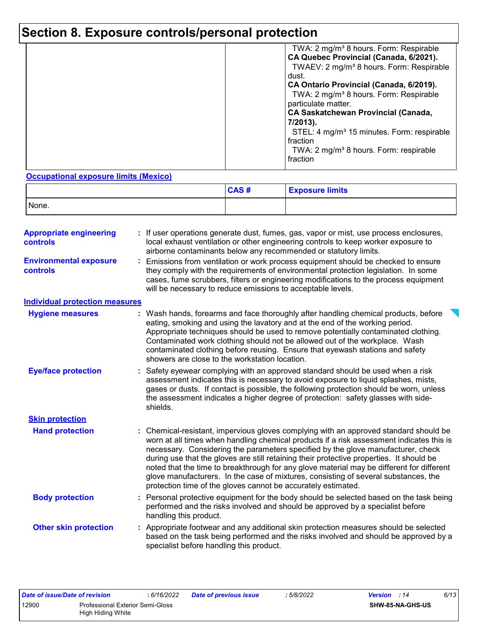# **Section 8. Exposure controls/personal protection**

|  | TWA: 2 mg/m <sup>3</sup> 8 hours. Form: Respirable<br>CA Quebec Provincial (Canada, 6/2021).<br>TWAEV: 2 mg/m <sup>3</sup> 8 hours. Form: Respirable<br>dust.<br>CA Ontario Provincial (Canada, 6/2019).<br>TWA: 2 mg/m <sup>3</sup> 8 hours. Form: Respirable<br>particulate matter.<br><b>CA Saskatchewan Provincial (Canada,</b><br>7/2013).<br>STEL: 4 mg/m <sup>3</sup> 15 minutes. Form: respirable<br>fraction<br>TWA: 2 mg/m <sup>3</sup> 8 hours. Form: respirable<br>fraction |
|--|-----------------------------------------------------------------------------------------------------------------------------------------------------------------------------------------------------------------------------------------------------------------------------------------------------------------------------------------------------------------------------------------------------------------------------------------------------------------------------------------|
|--|-----------------------------------------------------------------------------------------------------------------------------------------------------------------------------------------------------------------------------------------------------------------------------------------------------------------------------------------------------------------------------------------------------------------------------------------------------------------------------------------|

#### **Occupational exposure limits (Mexico)**

|       | CAS# | <b>Exposure limits</b> |
|-------|------|------------------------|
| None. |      |                        |

| <b>Appropriate engineering</b><br>controls | If user operations generate dust, fumes, gas, vapor or mist, use process enclosures,<br>local exhaust ventilation or other engineering controls to keep worker exposure to<br>airborne contaminants below any recommended or statutory limits.                                                                                                                                                                                                                                                                                                                                                                       |
|--------------------------------------------|----------------------------------------------------------------------------------------------------------------------------------------------------------------------------------------------------------------------------------------------------------------------------------------------------------------------------------------------------------------------------------------------------------------------------------------------------------------------------------------------------------------------------------------------------------------------------------------------------------------------|
| <b>Environmental exposure</b><br>controls  | Emissions from ventilation or work process equipment should be checked to ensure<br>they comply with the requirements of environmental protection legislation. In some<br>cases, fume scrubbers, filters or engineering modifications to the process equipment<br>will be necessary to reduce emissions to acceptable levels.                                                                                                                                                                                                                                                                                        |
| <b>Individual protection measures</b>      |                                                                                                                                                                                                                                                                                                                                                                                                                                                                                                                                                                                                                      |
| <b>Hygiene measures</b>                    | Wash hands, forearms and face thoroughly after handling chemical products, before<br>eating, smoking and using the lavatory and at the end of the working period.<br>Appropriate techniques should be used to remove potentially contaminated clothing.<br>Contaminated work clothing should not be allowed out of the workplace. Wash<br>contaminated clothing before reusing. Ensure that eyewash stations and safety<br>showers are close to the workstation location.                                                                                                                                            |
| <b>Eye/face protection</b>                 | Safety eyewear complying with an approved standard should be used when a risk<br>assessment indicates this is necessary to avoid exposure to liquid splashes, mists,<br>gases or dusts. If contact is possible, the following protection should be worn, unless<br>the assessment indicates a higher degree of protection: safety glasses with side-<br>shields.                                                                                                                                                                                                                                                     |
| <b>Skin protection</b>                     |                                                                                                                                                                                                                                                                                                                                                                                                                                                                                                                                                                                                                      |
| <b>Hand protection</b>                     | Chemical-resistant, impervious gloves complying with an approved standard should be<br>worn at all times when handling chemical products if a risk assessment indicates this is<br>necessary. Considering the parameters specified by the glove manufacturer, check<br>during use that the gloves are still retaining their protective properties. It should be<br>noted that the time to breakthrough for any glove material may be different for different<br>glove manufacturers. In the case of mixtures, consisting of several substances, the<br>protection time of the gloves cannot be accurately estimated. |
| <b>Body protection</b>                     | Personal protective equipment for the body should be selected based on the task being<br>performed and the risks involved and should be approved by a specialist before<br>handling this product.                                                                                                                                                                                                                                                                                                                                                                                                                    |
| <b>Other skin protection</b>               | : Appropriate footwear and any additional skin protection measures should be selected<br>based on the task being performed and the risks involved and should be approved by a<br>specialist before handling this product.                                                                                                                                                                                                                                                                                                                                                                                            |

| Date of issue/Date of revision |                                         | 6/16/2022 | <b>Date of previous issue</b> | : 5/8/2022 | <b>Version</b> : 14 | 6/13 |
|--------------------------------|-----------------------------------------|-----------|-------------------------------|------------|---------------------|------|
| 12900                          | <b>Professional Exterior Semi-Gloss</b> |           |                               |            | SHW-85-NA-GHS-US    |      |
|                                | High Hiding White                       |           |                               |            |                     |      |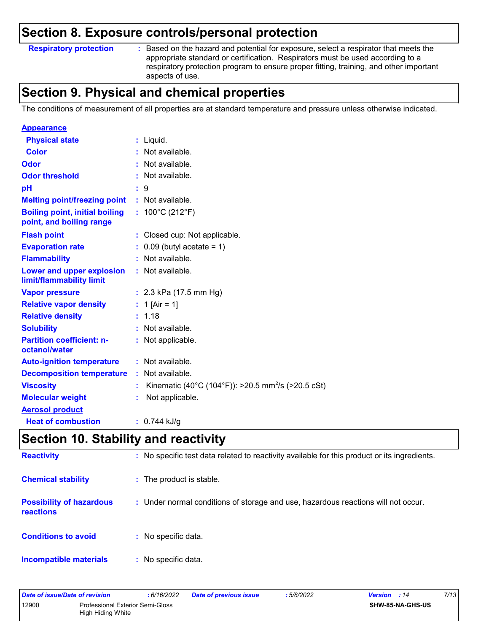### **Section 8. Exposure controls/personal protection**

**Respiratory protection :**

Based on the hazard and potential for exposure, select a respirator that meets the appropriate standard or certification. Respirators must be used according to a respiratory protection program to ensure proper fitting, training, and other important aspects of use.

### **Section 9. Physical and chemical properties**

The conditions of measurement of all properties are at standard temperature and pressure unless otherwise indicated.

| <b>Appearance</b>                                                 |                                                                |
|-------------------------------------------------------------------|----------------------------------------------------------------|
| <b>Physical state</b>                                             | $:$ Liquid.                                                    |
| <b>Color</b>                                                      | Not available.                                                 |
| Odor                                                              | Not available.                                                 |
| <b>Odor threshold</b>                                             | Not available.                                                 |
| рH                                                                | 9                                                              |
| <b>Melting point/freezing point</b>                               | : Not available.                                               |
| <b>Boiling point, initial boiling</b><br>point, and boiling range | : $100^{\circ}$ C (212 $^{\circ}$ F)                           |
| <b>Flash point</b>                                                | : Closed cup: Not applicable.                                  |
| <b>Evaporation rate</b>                                           | $0.09$ (butyl acetate = 1)                                     |
| <b>Flammability</b>                                               | Not available.                                                 |
| Lower and upper explosion<br>limit/flammability limit             | : Not available.                                               |
| <b>Vapor pressure</b>                                             | : $2.3$ kPa (17.5 mm Hg)                                       |
| <b>Relative vapor density</b>                                     | : 1 [Air = 1]                                                  |
| <b>Relative density</b>                                           | 1.18                                                           |
| <b>Solubility</b>                                                 | Not available.                                                 |
| <b>Partition coefficient: n-</b><br>octanol/water                 | : Not applicable.                                              |
| <b>Auto-ignition temperature</b>                                  | Not available.                                                 |
| <b>Decomposition temperature</b>                                  | Not available.                                                 |
| <b>Viscosity</b>                                                  | Kinematic (40°C (104°F)): >20.5 mm <sup>2</sup> /s (>20.5 cSt) |
| <b>Molecular weight</b>                                           | Not applicable.                                                |
| <b>Aerosol product</b>                                            |                                                                |
| <b>Heat of combustion</b>                                         | $: 0.744$ kJ/g                                                 |

### **Section 10. Stability and reactivity**

| <b>Reactivity</b>                                   | : No specific test data related to reactivity available for this product or its ingredients. |
|-----------------------------------------------------|----------------------------------------------------------------------------------------------|
| <b>Chemical stability</b>                           | : The product is stable.                                                                     |
| <b>Possibility of hazardous</b><br><b>reactions</b> | : Under normal conditions of storage and use, hazardous reactions will not occur.            |
| <b>Conditions to avoid</b>                          | : No specific data.                                                                          |
| <b>Incompatible materials</b>                       | : No specific data.                                                                          |

| Date of issue/Date of revision |                                                              | : 6/16/2022 | <b>Date of previous issue</b> | : 5/8/2022 | <b>Version</b> : 14     | 7/13 |
|--------------------------------|--------------------------------------------------------------|-------------|-------------------------------|------------|-------------------------|------|
| 12900                          | <b>Professional Exterior Semi-Gloss</b><br>High Hiding White |             |                               |            | <b>SHW-85-NA-GHS-US</b> |      |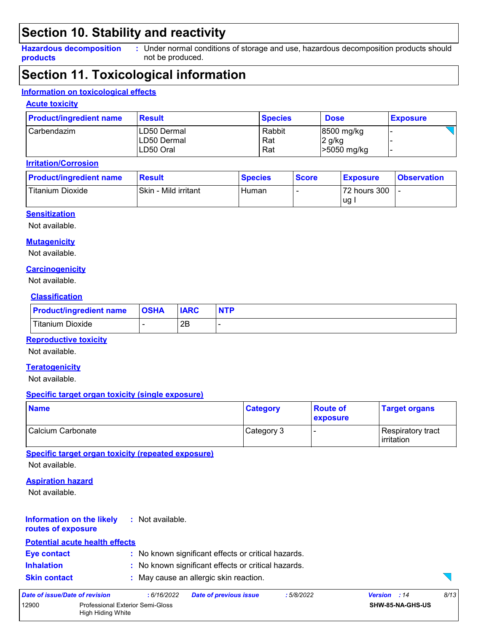### **Section 10. Stability and reactivity**

**Hazardous decomposition products** Under normal conditions of storage and use, hazardous decomposition products should **:** not be produced.

### **Section 11. Toxicological information**

#### **Information on toxicological effects**

#### **Acute toxicity**

| <b>Product/ingredient name</b> | <b>Result</b>                           | <b>Species</b>       | <b>Dose</b>                         | <b>Exposure</b> |
|--------------------------------|-----------------------------------------|----------------------|-------------------------------------|-----------------|
| l Carbendazim .                | LD50 Dermal<br>LD50 Dermal<br>LD50 Oral | Rabbit<br>Rat<br>Rat | 8500 mg/kg<br>2 g/kg<br>>5050 mg/kg |                 |

#### **Irritation/Corrosion**

| <b>Product/ingredient name</b> | <b>Result</b>        | <b>Species</b> | <b>Score</b> | <b>Exposure</b> | <b>Observation</b> |
|--------------------------------|----------------------|----------------|--------------|-----------------|--------------------|
| <b>Titanium Dioxide</b>        | Skin - Mild irritant | Human          |              | 72 hours 300    |                    |
|                                |                      |                |              | ug              |                    |

#### **Sensitization**

Not available.

#### **Mutagenicity**

Not available.

#### **Carcinogenicity**

Not available.

#### **Classification**

| <b>Product/ingredient name OSHA</b> | <b>IARC</b> |  |
|-------------------------------------|-------------|--|
| <b>Titanium Dioxide</b>             | 2Β          |  |

#### **Reproductive toxicity**

Not available.

#### **Teratogenicity**

Not available.

#### **Specific target organ toxicity (single exposure)**

| <b>Name</b>         | <b>Category</b> | <b>Route of</b><br>exposure | <b>Target organs</b>                      |
|---------------------|-----------------|-----------------------------|-------------------------------------------|
| l Calcium Carbonate | Category 3      |                             | Respiratory tract_<br><b>l</b> irritation |

**Specific target organ toxicity (repeated exposure)**

Not available.

#### **Aspiration hazard**

Not available.

#### **Information on the likely :** Not available.

#### **routes of exposure**

#### **Potential acute health effects**

| <b>Eye contact</b> | : No known significant effects or critical hazards. |  |
|--------------------|-----------------------------------------------------|--|
| .                  |                                                     |  |

- **Inhalation :** No known significant effects or critical hazards.
- **Skin contact :** May cause an allergic skin reaction.

| Date of issue/Date of revision |                                                              | : 6/16/2022 | <b>Date of previous issue</b> | : 5/8/2022 | <b>Version</b> : 14     | 8/13 |
|--------------------------------|--------------------------------------------------------------|-------------|-------------------------------|------------|-------------------------|------|
| 12900                          | <b>Professional Exterior Semi-Gloss</b><br>High Hiding White |             |                               |            | <b>SHW-85-NA-GHS-US</b> |      |

 $\sum$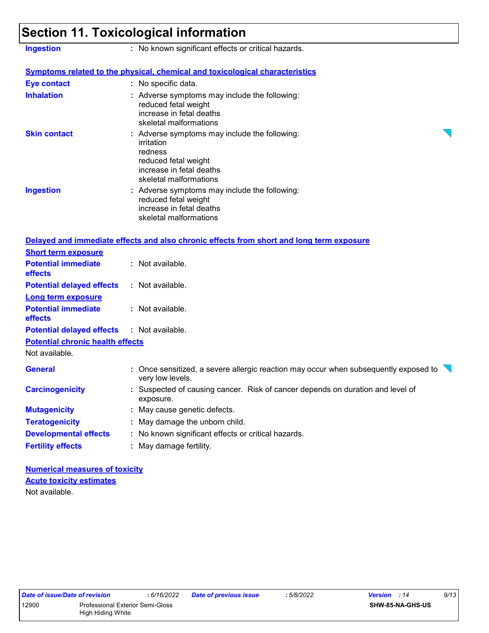## **Section 11. Toxicological information**

| <b>Ingestion</b>                        | : No known significant effects or critical hazards.                                                                                                  |
|-----------------------------------------|------------------------------------------------------------------------------------------------------------------------------------------------------|
|                                         | <b>Symptoms related to the physical, chemical and toxicological characteristics</b>                                                                  |
| <b>Eye contact</b>                      | : No specific data.                                                                                                                                  |
| <b>Inhalation</b>                       | : Adverse symptoms may include the following:<br>reduced fetal weight<br>increase in fetal deaths<br>skeletal malformations                          |
| <b>Skin contact</b>                     | : Adverse symptoms may include the following:<br>irritation<br>redness<br>reduced fetal weight<br>increase in fetal deaths<br>skeletal malformations |
| <b>Ingestion</b>                        | : Adverse symptoms may include the following:<br>reduced fetal weight<br>increase in fetal deaths<br>skeletal malformations                          |
|                                         | Delayed and immediate effects and also chronic effects from short and long term exposure                                                             |
| <b>Short term exposure</b>              |                                                                                                                                                      |
| <b>Potential immediate</b><br>effects   | : Not available.                                                                                                                                     |
| <b>Potential delayed effects</b>        | : Not available.                                                                                                                                     |
| <b>Long term exposure</b>               |                                                                                                                                                      |
| <b>Potential immediate</b><br>effects   | : Not available.                                                                                                                                     |
| <b>Potential delayed effects</b>        | : Not available.                                                                                                                                     |
| <b>Potential chronic health effects</b> |                                                                                                                                                      |
| Not available.                          |                                                                                                                                                      |
| <b>General</b>                          | : Once sensitized, a severe allergic reaction may occur when subsequently exposed to<br>very low levels.                                             |
| <b>Carcinogenicity</b>                  | : Suspected of causing cancer. Risk of cancer depends on duration and level of<br>exposure.                                                          |
| <b>Mutagenicity</b>                     | : May cause genetic defects.                                                                                                                         |
| <b>Teratogenicity</b>                   | : May damage the unborn child.                                                                                                                       |
| <b>Developmental effects</b>            | : No known significant effects or critical hazards.                                                                                                  |
| <b>Fertility effects</b>                | : May damage fertility.                                                                                                                              |

**Numerical measures of toxicity** Not available. **Acute toxicity estimates**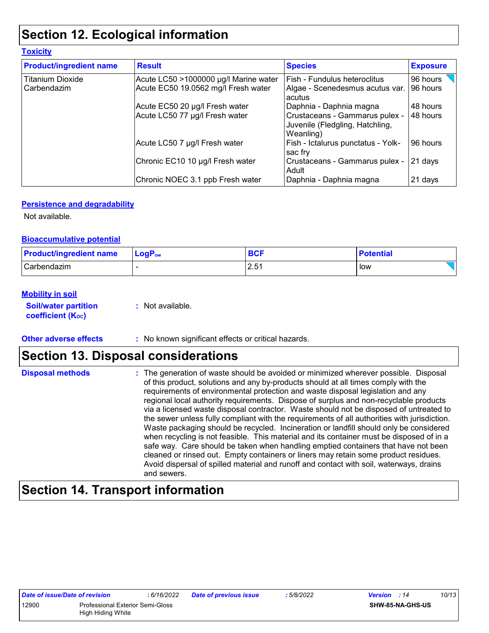### **Section 12. Ecological information**

| <b>Toxicity</b>                |                                       |                                                                                |                 |
|--------------------------------|---------------------------------------|--------------------------------------------------------------------------------|-----------------|
| <b>Product/ingredient name</b> | <b>Result</b>                         | <b>Species</b>                                                                 | <b>Exposure</b> |
| <b>Titanium Dioxide</b>        | Acute LC50 >1000000 µg/l Marine water | l Fish - Fundulus heteroclitus                                                 | 96 hours        |
| Carbendazim                    | Acute EC50 19.0562 mg/l Fresh water   | Algae - Scenedesmus acutus var.<br>acutus                                      | 96 hours        |
|                                | Acute EC50 20 µg/l Fresh water        | Daphnia - Daphnia magna                                                        | 48 hours        |
|                                | Acute LC50 77 µg/l Fresh water        | Crustaceans - Gammarus pulex -<br>Juvenile (Fledgling, Hatchling,<br>Weanling) | 48 hours        |
|                                | Acute LC50 7 µg/l Fresh water         | Fish - Ictalurus punctatus - Yolk-<br>sac fry                                  | 96 hours        |
|                                | Chronic EC10 10 µg/l Fresh water      | Crustaceans - Gammarus pulex -<br><b>Adult</b>                                 | 21 days         |
|                                | Chronic NOEC 3.1 ppb Fresh water      | Daphnia - Daphnia magna                                                        | 21 days         |

#### **Persistence and degradability**

Not available.

#### **Bioaccumulative potential**

| <b>Product/ingredient name</b> | $\mathsf{LogP}_\mathsf{ow}$ | <b>BCF</b> | <b>Potential</b> |
|--------------------------------|-----------------------------|------------|------------------|
| Carbendazim                    |                             | 2.51       | low              |

#### **Mobility in soil**

**Soil/water partition coefficient (KOC)**

**:** Not available.

#### **Other adverse effects** : No known significant effects or critical hazards.

### **Section 13. Disposal considerations**

| <b>Disposal methods</b> | : The generation of waste should be avoided or minimized wherever possible. Disposal<br>of this product, solutions and any by-products should at all times comply with the<br>requirements of environmental protection and waste disposal legislation and any<br>regional local authority requirements. Dispose of surplus and non-recyclable products<br>via a licensed waste disposal contractor. Waste should not be disposed of untreated to<br>the sewer unless fully compliant with the requirements of all authorities with jurisdiction.<br>Waste packaging should be recycled. Incineration or landfill should only be considered<br>when recycling is not feasible. This material and its container must be disposed of in a<br>safe way. Care should be taken when handling emptied containers that have not been<br>cleaned or rinsed out. Empty containers or liners may retain some product residues.<br>Avoid dispersal of spilled material and runoff and contact with soil, waterways, drains |
|-------------------------|----------------------------------------------------------------------------------------------------------------------------------------------------------------------------------------------------------------------------------------------------------------------------------------------------------------------------------------------------------------------------------------------------------------------------------------------------------------------------------------------------------------------------------------------------------------------------------------------------------------------------------------------------------------------------------------------------------------------------------------------------------------------------------------------------------------------------------------------------------------------------------------------------------------------------------------------------------------------------------------------------------------|
|                         | and sewers.                                                                                                                                                                                                                                                                                                                                                                                                                                                                                                                                                                                                                                                                                                                                                                                                                                                                                                                                                                                                    |

### **Section 14. Transport information**

| Date of issue/Date of revision                                        |  | : 6/16/2022 | Date of previous issue | 5/8/2022         | Version | - 14 | 10/13 |
|-----------------------------------------------------------------------|--|-------------|------------------------|------------------|---------|------|-------|
| 12900<br><b>Professional Exterior Semi-Gloss</b><br>High Hiding White |  |             |                        | SHW-85-NA-GHS-US |         |      |       |
|                                                                       |  |             |                        |                  |         |      |       |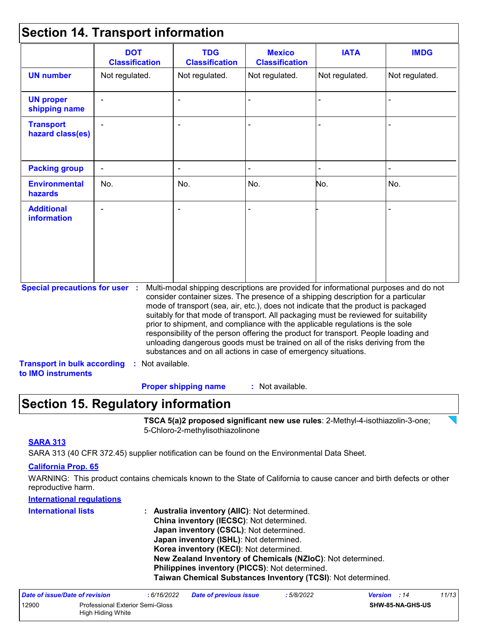### **Section 14. Transport information**

| Not regulated.<br>÷,                  | Not regulated.<br>$\blacksquare$   | Not regulated.   | Not regulated. | Not regulated.                                                                                                                                                                                                                                                                                                                                                                                                                                                                                                                                                                                                                                                                      |
|---------------------------------------|------------------------------------|------------------|----------------|-------------------------------------------------------------------------------------------------------------------------------------------------------------------------------------------------------------------------------------------------------------------------------------------------------------------------------------------------------------------------------------------------------------------------------------------------------------------------------------------------------------------------------------------------------------------------------------------------------------------------------------------------------------------------------------|
|                                       |                                    |                  |                |                                                                                                                                                                                                                                                                                                                                                                                                                                                                                                                                                                                                                                                                                     |
|                                       |                                    |                  |                |                                                                                                                                                                                                                                                                                                                                                                                                                                                                                                                                                                                                                                                                                     |
|                                       |                                    |                  |                |                                                                                                                                                                                                                                                                                                                                                                                                                                                                                                                                                                                                                                                                                     |
|                                       |                                    |                  |                |                                                                                                                                                                                                                                                                                                                                                                                                                                                                                                                                                                                                                                                                                     |
| No.                                   | No.                                | No.              | No.            | No.                                                                                                                                                                                                                                                                                                                                                                                                                                                                                                                                                                                                                                                                                 |
|                                       | $\blacksquare$                     |                  |                |                                                                                                                                                                                                                                                                                                                                                                                                                                                                                                                                                                                                                                                                                     |
| <b>Special precautions for user :</b> |                                    |                  |                |                                                                                                                                                                                                                                                                                                                                                                                                                                                                                                                                                                                                                                                                                     |
|                                       | <b>Transport in bulk according</b> | : Not available. |                | Multi-modal shipping descriptions are provided for informational purposes and do not<br>consider container sizes. The presence of a shipping description for a particular<br>mode of transport (sea, air, etc.), does not indicate that the product is packaged<br>suitably for that mode of transport. All packaging must be reviewed for suitability<br>prior to shipment, and compliance with the applicable regulations is the sole<br>responsibility of the person offering the product for transport. People loading and<br>unloading dangerous goods must be trained on all of the risks deriving from the<br>substances and on all actions in case of emergency situations. |

: Not available. **Proper shipping name :**

### **Section 15. Regulatory information**

**TSCA 5(a)2 proposed significant new use rules**: 2-Methyl-4-isothiazolin-3-one; 5-Chloro-2-methylisothiazolinone

#### **SARA 313**

SARA 313 (40 CFR 372.45) supplier notification can be found on the Environmental Data Sheet.

#### **California Prop. 65**

WARNING: This product contains chemicals known to the State of California to cause cancer and birth defects or other reproductive harm.

#### **International regulations**

| <b>International lists</b> | : Australia inventory (AIIC): Not determined.                |
|----------------------------|--------------------------------------------------------------|
|                            | China inventory (IECSC): Not determined.                     |
|                            | Japan inventory (CSCL): Not determined.                      |
|                            | Japan inventory (ISHL): Not determined.                      |
|                            | Korea inventory (KECI): Not determined.                      |
|                            | New Zealand Inventory of Chemicals (NZIoC): Not determined.  |
|                            | Philippines inventory (PICCS): Not determined.               |
|                            | Taiwan Chemical Substances Inventory (TCSI): Not determined. |

| Date of issue/Date of revision |                                                       | : 6/16/2022 | <b>Date of previous issue</b> | : 5/8/2022 | <b>Version</b> : 14 |                         | 11/13 |
|--------------------------------|-------------------------------------------------------|-------------|-------------------------------|------------|---------------------|-------------------------|-------|
| 12900                          | Professional Exterior Semi-Gloss<br>High Hiding White |             |                               |            |                     | <b>SHW-85-NA-GHS-US</b> |       |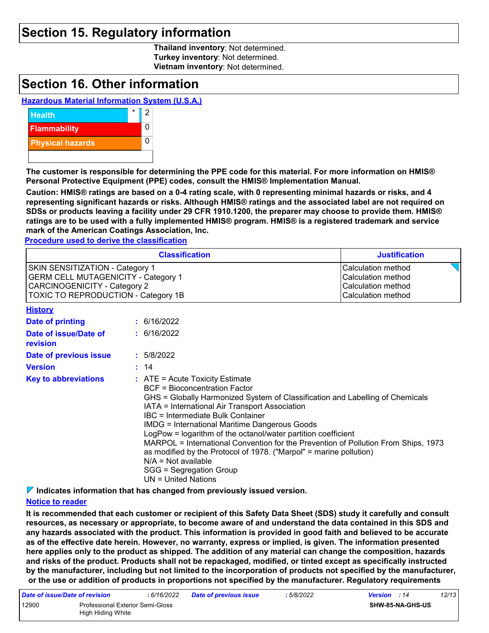### **Section 15. Regulatory information**

**Thailand inventory**: Not determined. **Turkey inventory**: Not determined. **Vietnam inventory**: Not determined.

### **Section 16. Other information**

#### **Hazardous Material Information System (U.S.A.)**



**The customer is responsible for determining the PPE code for this material. For more information on HMIS® Personal Protective Equipment (PPE) codes, consult the HMIS® Implementation Manual.**

**Caution: HMIS® ratings are based on a 0-4 rating scale, with 0 representing minimal hazards or risks, and 4 representing significant hazards or risks. Although HMIS® ratings and the associated label are not required on SDSs or products leaving a facility under 29 CFR 1910.1200, the preparer may choose to provide them. HMIS® ratings are to be used with a fully implemented HMIS® program. HMIS® is a registered trademark and service mark of the American Coatings Association, Inc.**

**Procedure used to derive the classification**

|                                                                                                                                                             | <b>Classification</b>                                                              | <b>Justification</b>                                                                 |
|-------------------------------------------------------------------------------------------------------------------------------------------------------------|------------------------------------------------------------------------------------|--------------------------------------------------------------------------------------|
| SKIN SENSITIZATION - Category 1<br><b>GERM CELL MUTAGENICITY - Category 1</b><br><b>CARCINOGENICITY - Category 2</b><br>TOXIC TO REPRODUCTION - Category 1B |                                                                                    | Calculation method<br>Calculation method<br>Calculation method<br>Calculation method |
| <b>History</b>                                                                                                                                              |                                                                                    |                                                                                      |
| Date of printing                                                                                                                                            | : 6/16/2022                                                                        |                                                                                      |
| Date of issue/Date of<br>revision                                                                                                                           | : 6/16/2022                                                                        |                                                                                      |
| Date of previous issue                                                                                                                                      | : 5/8/2022                                                                         |                                                                                      |
| <b>Version</b>                                                                                                                                              | : 14                                                                               |                                                                                      |
| <b>Key to abbreviations</b>                                                                                                                                 | $\therefore$ ATE = Acute Toxicity Estimate<br><b>BCF</b> = Bioconcentration Factor |                                                                                      |

| GHS = Globally Harmonized System of Classification and Labelling of Chemicals |
|-------------------------------------------------------------------------------|
|                                                                               |
|                                                                               |
| $IATA = Interrational Air Transport Association$                              |

- IATA = International Air Transport Association
- IBC = Intermediate Bulk Container

IMDG = International Maritime Dangerous Goods

LogPow = logarithm of the octanol/water partition coefficient MARPOL = International Convention for the Prevention of Pollution From Ships, 1973

as modified by the Protocol of 1978. ("Marpol" = marine pollution)

N/A = Not available

SGG = Segregation Group UN = United Nations

**Indicates information that has changed from previously issued version.**

#### **Notice to reader**

**It is recommended that each customer or recipient of this Safety Data Sheet (SDS) study it carefully and consult resources, as necessary or appropriate, to become aware of and understand the data contained in this SDS and any hazards associated with the product. This information is provided in good faith and believed to be accurate as of the effective date herein. However, no warranty, express or implied, is given. The information presented here applies only to the product as shipped. The addition of any material can change the composition, hazards and risks of the product. Products shall not be repackaged, modified, or tinted except as specifically instructed by the manufacturer, including but not limited to the incorporation of products not specified by the manufacturer, or the use or addition of products in proportions not specified by the manufacturer. Regulatory requirements** 

| Date of issue/Date of revision |                                                       | : 6/16/2022 | <b>Date of previous issue</b> | : 5/8/2022       | <b>Version</b> : 14 | 12/13 |
|--------------------------------|-------------------------------------------------------|-------------|-------------------------------|------------------|---------------------|-------|
| 12900                          | Professional Exterior Semi-Gloss<br>High Hiding White |             |                               | SHW-85-NA-GHS-US |                     |       |